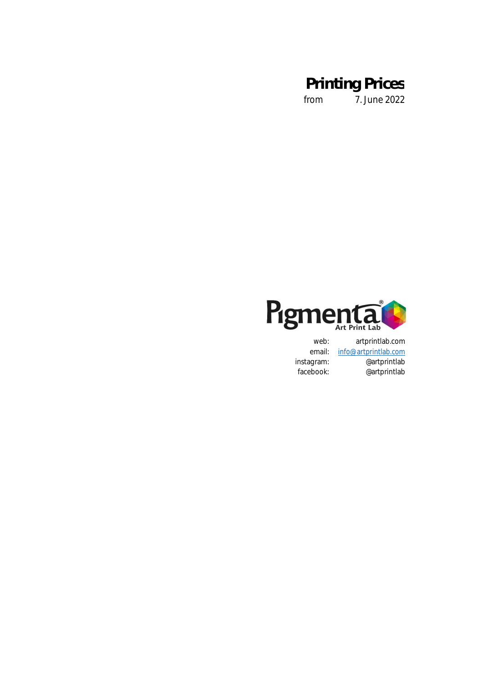from 7. June 2022



web: artprintlab.com<br>email: info@artprintlab.com info@artprintlab.com instagram: @artprintlab<br>facebook: @artprintlab @artprintlab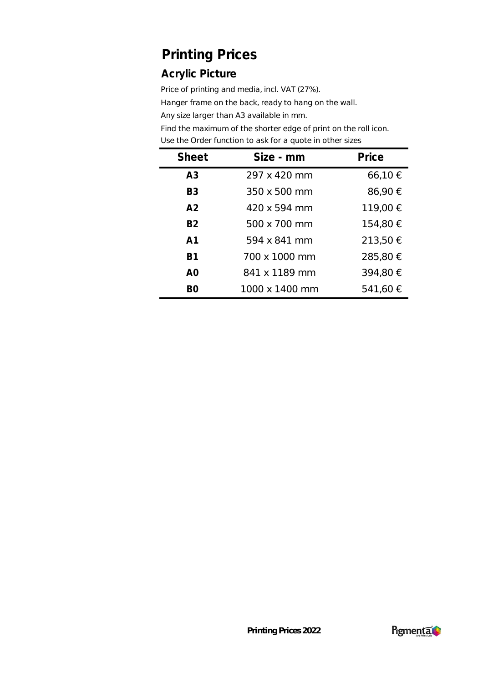### **Acrylic Picture**

Price of printing and media, incl. VAT (27%).

Hanger frame on the back, ready to hang on the wall.

Any size larger than A3 available in mm.

| <b>Sheet</b>   | Size - mm      | Price    |
|----------------|----------------|----------|
| A <sub>3</sub> | 297 x 420 mm   | 66,10 €  |
| B <sub>3</sub> | 350 x 500 mm   | 86,90 €  |
| A <sup>2</sup> | 420 x 594 mm   | 119,00 € |
| <b>B2</b>      | 500 x 700 mm   | 154,80 € |
| A <sub>1</sub> | 594 x 841 mm   | 213,50 € |
| <b>B1</b>      | 700 x 1000 mm  | 285,80 € |
| A <sub>0</sub> | 841 x 1189 mm  | 394,80 € |
| BΟ             | 1000 x 1400 mm | 541,60 € |

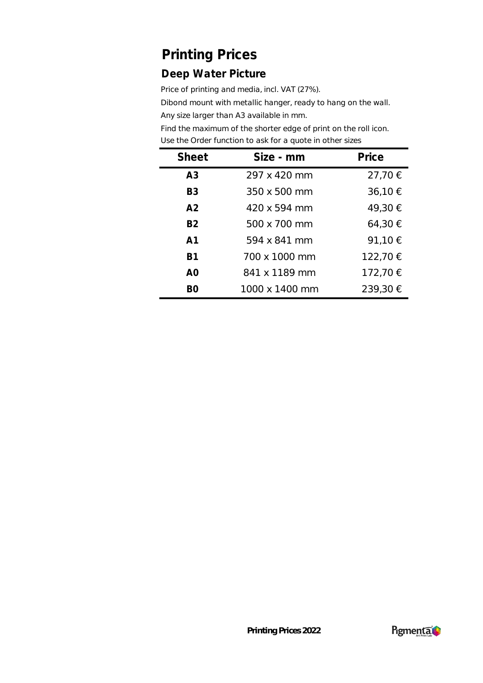### **Deep Water Picture**

Price of printing and media, incl. VAT (27%).

Dibond mount with metallic hanger, ready to hang on the wall.

Any size larger than A3 available in mm.

| <b>Sheet</b>   | Size - mm      | Price    |
|----------------|----------------|----------|
| A <sub>3</sub> | 297 x 420 mm   | 27,70 €  |
| B <sub>3</sub> | 350 x 500 mm   | 36,10 €  |
| A <sup>2</sup> | 420 x 594 mm   | 49,30 €  |
| <b>B2</b>      | 500 x 700 mm   | 64,30 €  |
| A <sub>1</sub> | 594 x 841 mm   | 91,10 €  |
| B1             | 700 x 1000 mm  | 122,70 € |
| A <sub>O</sub> | 841 x 1189 mm  | 172,70 € |
| BO.            | 1000 x 1400 mm | 239,30 € |

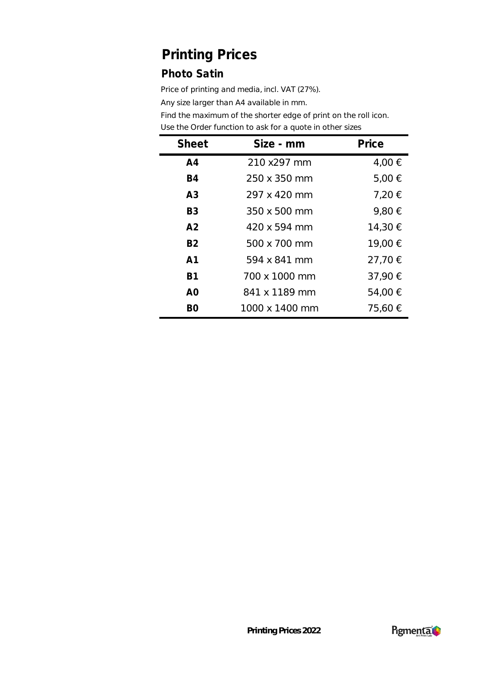### **Photo Satin**

Price of printing and media, incl. VAT (27%).

Any size larger than A4 available in mm.

| <b>Sheet</b>   | Size - mm      | Price   |
|----------------|----------------|---------|
| A <sub>4</sub> | 210 x297 mm    | 4,00 €  |
| <b>B4</b>      | 250 x 350 mm   | 5,00 €  |
| A <sub>3</sub> | 297 x 420 mm   | 7,20 €  |
| B <sub>3</sub> | 350 x 500 mm   | 9,80 €  |
| A <sub>2</sub> | 420 x 594 mm   | 14,30 € |
| <b>B2</b>      | 500 x 700 mm   | 19,00 € |
| A <sub>1</sub> | 594 x 841 mm   | 27,70 € |
| <b>B1</b>      | 700 x 1000 mm  | 37,90 € |
| A <sub>O</sub> | 841 x 1189 mm  | 54,00 € |
| BΟ             | 1000 x 1400 mm | 75,60 € |

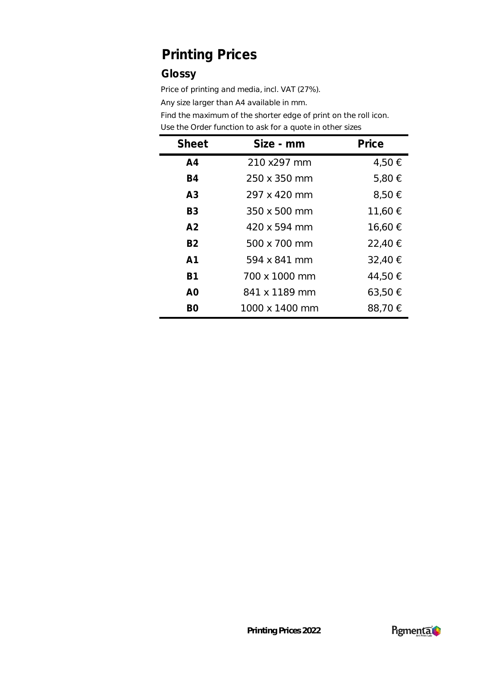#### **Glossy**

Price of printing and media, incl. VAT (27%).

Any size larger than A4 available in mm.

| <b>Sheet</b>   | Size - mm      | Price   |
|----------------|----------------|---------|
| A <sub>4</sub> | 210 x297 mm    | 4,50 €  |
| <b>B4</b>      | 250 x 350 mm   | 5,80 €  |
| A <sub>3</sub> | 297 x 420 mm   | 8,50 €  |
| B <sub>3</sub> | 350 x 500 mm   | 11,60 € |
| A <sub>2</sub> | 420 x 594 mm   | 16,60 € |
| <b>B2</b>      | 500 x 700 mm   | 22,40 € |
| A1             | 594 x 841 mm   | 32,40 € |
| <b>B1</b>      | 700 x 1000 mm  | 44,50 € |
| A <sub>0</sub> | 841 x 1189 mm  | 63,50 € |
| BO             | 1000 x 1400 mm | 88,70 € |

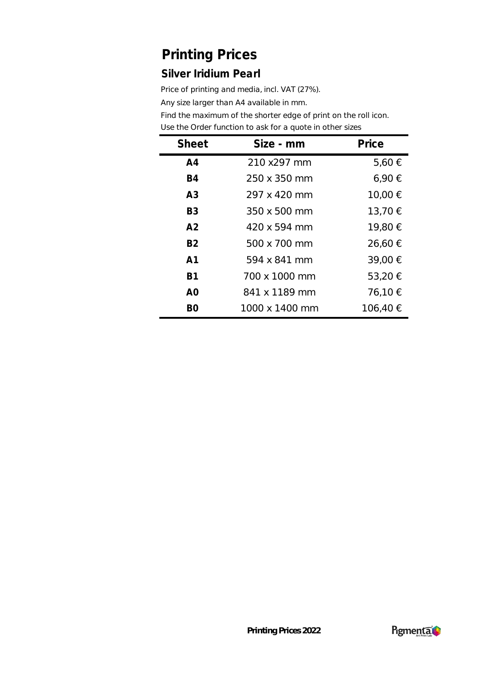#### **Silver Iridium Pearl**

Price of printing and media, incl. VAT (27%).

Any size larger than A4 available in mm.

| <b>Sheet</b>   | Size - mm      | Price    |
|----------------|----------------|----------|
| A <sub>4</sub> | 210 x297 mm    | 5,60€    |
| <b>B4</b>      | 250 x 350 mm   | 6,90€    |
| A <sub>3</sub> | 297 x 420 mm   | 10,00 €  |
| B <sub>3</sub> | 350 x 500 mm   | 13,70 €  |
| A <sub>2</sub> | 420 x 594 mm   | 19,80 €  |
| <b>B2</b>      | 500 x 700 mm   | 26,60 €  |
| A1             | 594 x 841 mm   | 39,00 €  |
| B1             | 700 x 1000 mm  | 53,20 €  |
| A <sub>O</sub> | 841 x 1189 mm  | 76,10 €  |
| B0             | 1000 x 1400 mm | 106,40 € |

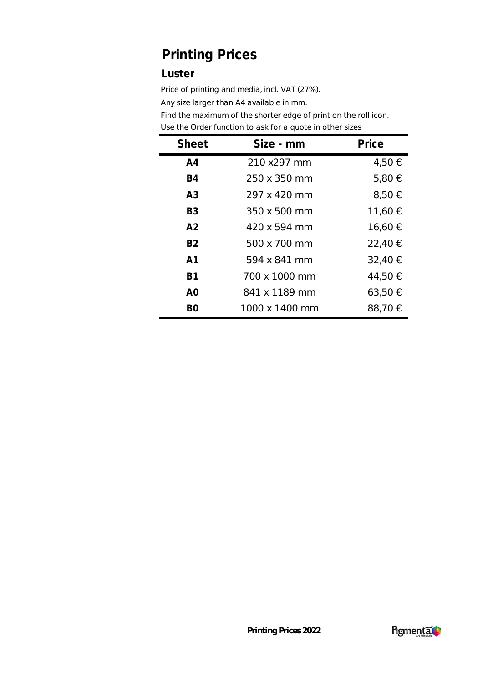#### **Luster**

Price of printing and media, incl. VAT (27%).

Any size larger than A4 available in mm.

| <b>Sheet</b>   | Size - mm      | Price       |
|----------------|----------------|-------------|
| A <sub>4</sub> | 210 x297 mm    | 4,50 €      |
| <b>B4</b>      | 250 x 350 mm   | 5,80 €      |
| A <sub>3</sub> | 297 x 420 mm   | $8,50 \in$  |
| B <sub>3</sub> | 350 x 500 mm   | 11,60 €     |
| A <sub>2</sub> | 420 x 594 mm   | 16,60 €     |
| <b>B2</b>      | 500 x 700 mm   | 22,40 €     |
| A1             | 594 x 841 mm   | 32,40 €     |
| <b>B1</b>      | 700 x 1000 mm  | 44,50 €     |
| A0             | 841 x 1189 mm  | $63,50 \in$ |
| BO             | 1000 x 1400 mm | 88,70 €     |

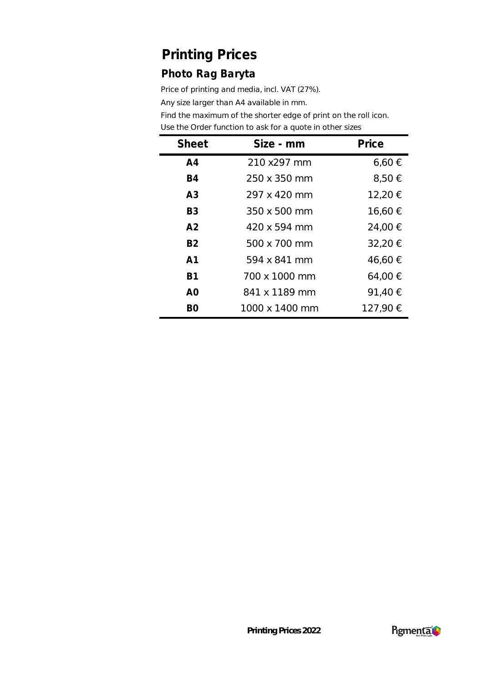### **Photo Rag Baryta**

Price of printing and media, incl. VAT (27%).

Any size larger than A4 available in mm.

| <b>Sheet</b>   | Size - mm      | Price      |
|----------------|----------------|------------|
| A <sub>4</sub> | 210 x297 mm    | $6,60 \in$ |
| <b>B4</b>      | 250 x 350 mm   | 8,50 €     |
| A <sub>3</sub> | 297 x 420 mm   | 12,20 €    |
| B <sub>3</sub> | 350 x 500 mm   | 16,60 €    |
| A <sub>2</sub> | 420 x 594 mm   | 24,00 €    |
| <b>B2</b>      | 500 x 700 mm   | 32,20 €    |
| A <sub>1</sub> | 594 x 841 mm   | 46,60 €    |
| <b>B1</b>      | 700 x 1000 mm  | 64,00 €    |
| A <sub>O</sub> | 841 x 1189 mm  | 91,40 €    |
| B <sub>O</sub> | 1000 x 1400 mm | 127,90 €   |

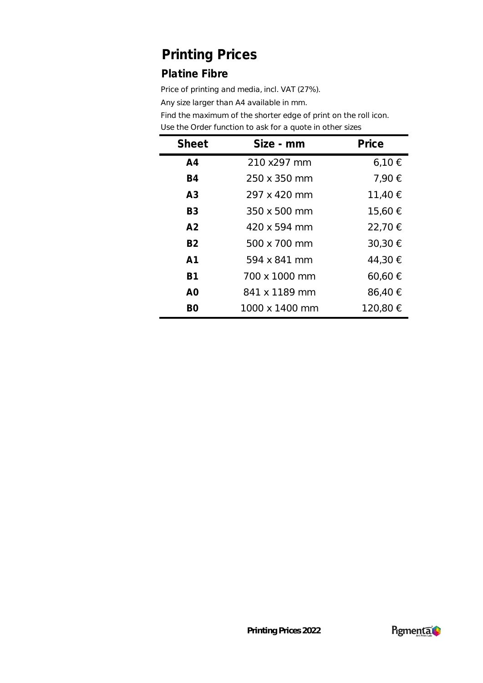### **Platine Fibre**

Price of printing and media, incl. VAT (27%).

Any size larger than A4 available in mm.

| <b>Sheet</b>   | Size - mm      | Price    |
|----------------|----------------|----------|
| A <sub>4</sub> | 210 x297 mm    | 6,10€    |
| <b>B4</b>      | 250 x 350 mm   | 7,90 €   |
| A <sub>3</sub> | 297 x 420 mm   | 11,40 €  |
| B <sub>3</sub> | 350 x 500 mm   | 15,60 €  |
| A <sub>2</sub> | 420 x 594 mm   | 22,70 €  |
| <b>B2</b>      | 500 x 700 mm   | 30,30 €  |
| A <sub>1</sub> | 594 x 841 mm   | 44,30 €  |
| <b>B1</b>      | 700 x 1000 mm  | 60,60 €  |
| A <sub>O</sub> | 841 x 1189 mm  | 86,40 €  |
| BΟ             | 1000 x 1400 mm | 120,80 € |

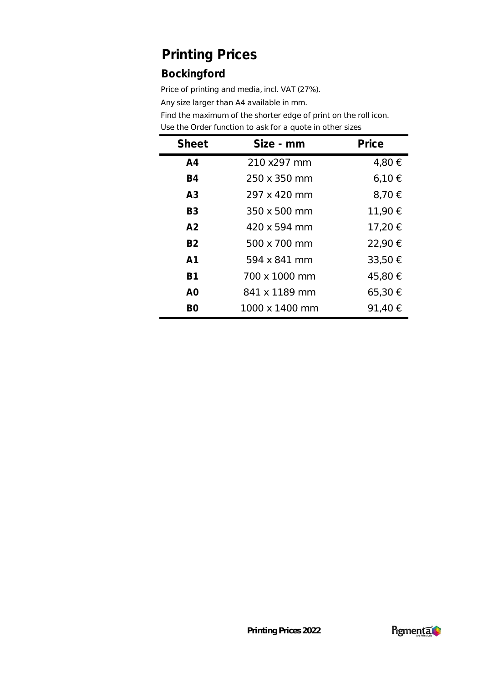### **Bockingford**

Price of printing and media, incl. VAT (27%).

Any size larger than A4 available in mm.

| <b>Sheet</b>   | Size - mm      | Price       |
|----------------|----------------|-------------|
| A <sub>4</sub> | 210 x297 mm    | 4,80 €      |
| <b>B4</b>      | 250 x 350 mm   | 6,10€       |
| A <sub>3</sub> | 297 x 420 mm   | 8,70 €      |
| B <sub>3</sub> | 350 x 500 mm   | 11,90 €     |
| A <sub>2</sub> | 420 x 594 mm   | 17,20 €     |
| <b>B2</b>      | 500 x 700 mm   | 22,90 €     |
| A <sub>1</sub> | 594 x 841 mm   | 33,50 €     |
| <b>B1</b>      | 700 x 1000 mm  | 45,80 €     |
| A <sub>O</sub> | 841 x 1189 mm  | $65,30 \in$ |
| BO             | 1000 x 1400 mm | 91,40 €     |

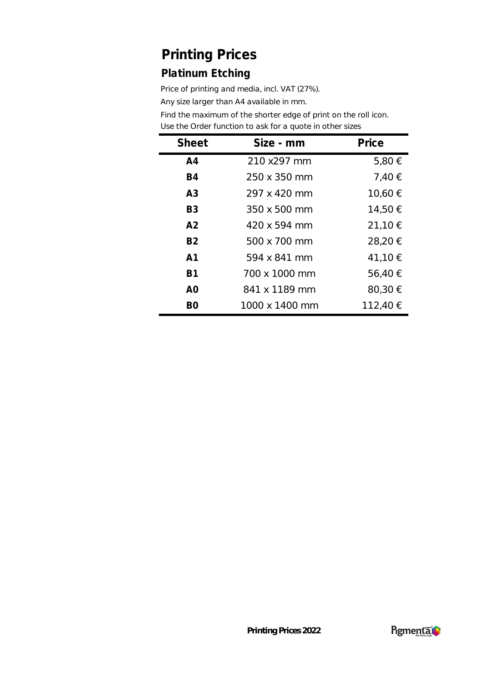### **Platinum Etching**

Price of printing and media, incl. VAT (27%).

Any size larger than A4 available in mm.

| <b>Sheet</b>   | Size - mm      | Price    |
|----------------|----------------|----------|
| A <sub>4</sub> | 210 x297 mm    | 5,80 €   |
| <b>B4</b>      | 250 x 350 mm   | 7,40 €   |
| A <sub>3</sub> | 297 x 420 mm   | 10,60 €  |
| B <sub>3</sub> | 350 x 500 mm   | 14,50 €  |
| A <sup>2</sup> | 420 x 594 mm   | 21,10 €  |
| <b>B2</b>      | 500 x 700 mm   | 28,20 €  |
| A <sub>1</sub> | 594 x 841 mm   | 41,10 €  |
| B1             | 700 x 1000 mm  | 56,40 €  |
| A <sub>O</sub> | 841 x 1189 mm  | 80,30 €  |
| BO             | 1000 x 1400 mm | 112,40 € |

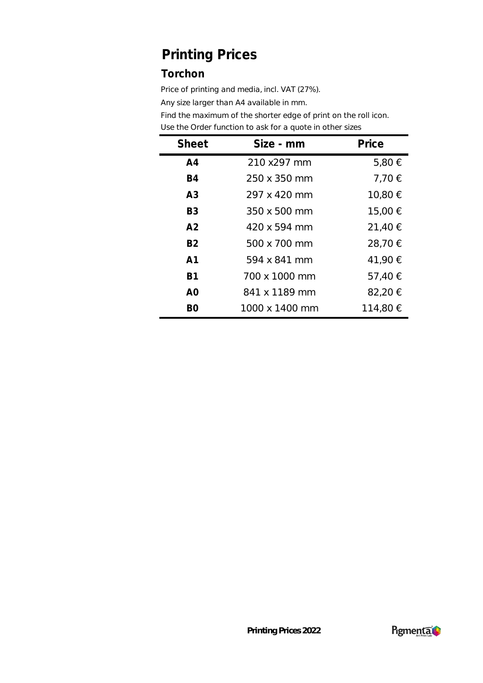### **Torchon**

Price of printing and media, incl. VAT (27%).

Any size larger than A4 available in mm.

| <b>Sheet</b>   | Size - mm      | Price    |
|----------------|----------------|----------|
| A <sub>4</sub> | 210 x297 mm    | 5,80 €   |
| <b>B4</b>      | 250 x 350 mm   | 7,70 €   |
| A <sub>3</sub> | 297 x 420 mm   | 10,80 €  |
| B <sub>3</sub> | 350 x 500 mm   | 15,00 €  |
| A <sub>2</sub> | 420 x 594 mm   | 21,40 €  |
| <b>B2</b>      | 500 x 700 mm   | 28,70 €  |
| A <sub>1</sub> | 594 x 841 mm   | 41,90 €  |
| <b>B1</b>      | 700 x 1000 mm  | 57,40 €  |
| A <sub>0</sub> | 841 x 1189 mm  | 82,20 €  |
| BΟ             | 1000 x 1400 mm | 114,80 € |

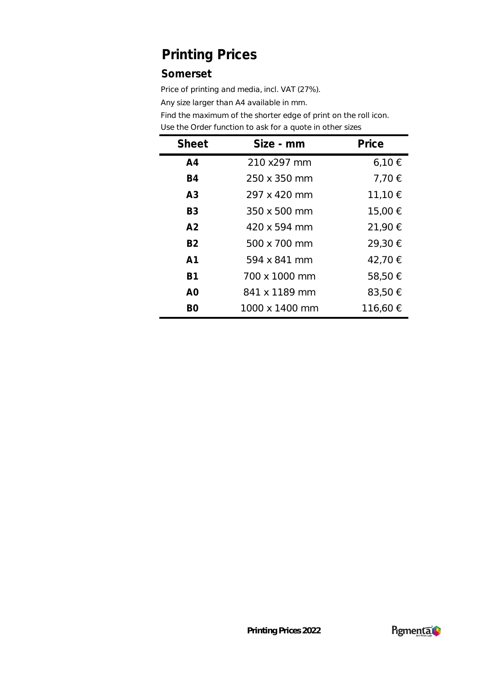#### **Somerset**

Price of printing and media, incl. VAT (27%).

Any size larger than A4 available in mm.

| <b>Sheet</b>   | Size - mm      | Price    |
|----------------|----------------|----------|
| A <sub>4</sub> | 210 x297 mm    | 6,10€    |
| <b>B4</b>      | 250 x 350 mm   | 7,70 €   |
| A <sub>3</sub> | 297 x 420 mm   | 11,10 €  |
| B <sub>3</sub> | 350 x 500 mm   | 15,00 €  |
| A <sub>2</sub> | 420 x 594 mm   | 21,90 €  |
| <b>B2</b>      | 500 x 700 mm   | 29,30 €  |
| A1             | 594 x 841 mm   | 42,70 €  |
| <b>B1</b>      | 700 x 1000 mm  | 58,50 €  |
| A <sub>0</sub> | 841 x 1189 mm  | 83,50 €  |
| B0             | 1000 x 1400 mm | 116,60 € |

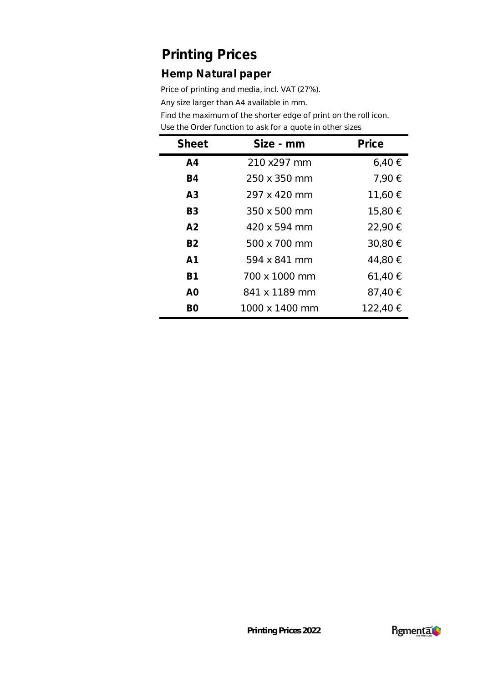#### **Hemp Natural paper**

Price of printing and media, incl. VAT (27%).

Any size larger than A4 available in mm.

| <b>Sheet</b>   | Size - mm      | Price    |
|----------------|----------------|----------|
| A <sub>4</sub> | 210 x297 mm    | 6,40€    |
| <b>B4</b>      | 250 x 350 mm   | 7,90 €   |
| A <sub>3</sub> | 297 x 420 mm   | 11,60 €  |
| B <sub>3</sub> | 350 x 500 mm   | 15,80 €  |
| A <sub>2</sub> | 420 x 594 mm   | 22,90 €  |
| <b>B2</b>      | 500 x 700 mm   | 30,80 €  |
| A <sub>1</sub> | 594 x 841 mm   | 44,80 €  |
| <b>B1</b>      | 700 x 1000 mm  | 61,40 €  |
| A <sub>O</sub> | 841 x 1189 mm  | 87,40 €  |
| B0             | 1000 x 1400 mm | 122,40 € |

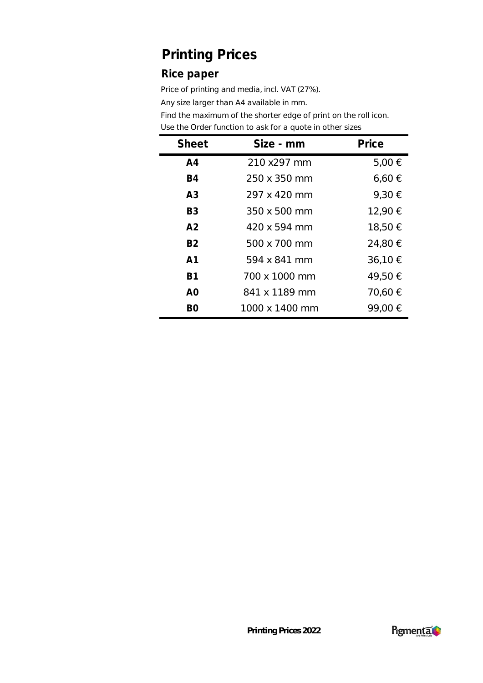#### **Rice paper**

Price of printing and media, incl. VAT (27%).

Any size larger than A4 available in mm.

| <b>Sheet</b>   | Size - mm      | Price      |
|----------------|----------------|------------|
| A <sub>4</sub> | 210 x297 mm    | 5,00 €     |
| <b>B4</b>      | 250 x 350 mm   | $6,60 \in$ |
| A <sub>3</sub> | 297 x 420 mm   | 9,30 €     |
| B <sub>3</sub> | 350 x 500 mm   | 12,90 €    |
| A <sub>2</sub> | 420 x 594 mm   | 18,50 €    |
| <b>B2</b>      | 500 x 700 mm   | 24,80 €    |
| A <sub>1</sub> | 594 x 841 mm   | 36,10 €    |
| <b>B1</b>      | 700 x 1000 mm  | 49,50 €    |
| A0             | 841 x 1189 mm  | 70,60 €    |
| BO             | 1000 x 1400 mm | 99,00 €    |

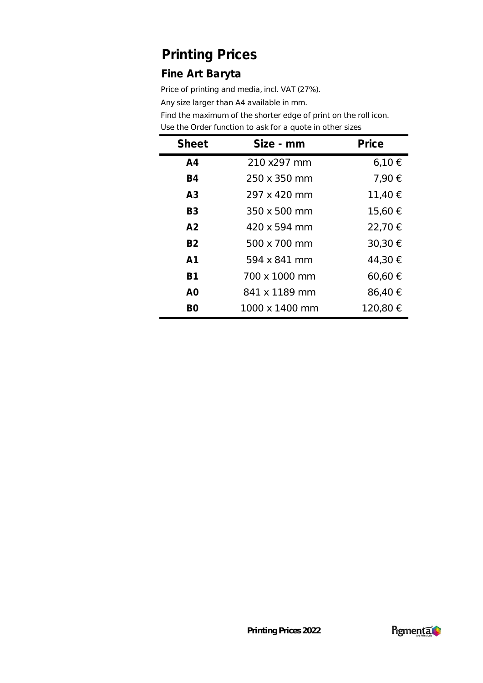#### **Fine Art Baryta**

Price of printing and media, incl. VAT (27%).

Any size larger than A4 available in mm.

| <b>Sheet</b>   | Size - mm      | Price       |
|----------------|----------------|-------------|
| A <sub>4</sub> | 210 x297 mm    | 6,10€       |
| <b>B4</b>      | 250 x 350 mm   | 7,90 €      |
| A <sub>3</sub> | 297 x 420 mm   | 11,40 €     |
| B <sub>3</sub> | 350 x 500 mm   | 15,60 €     |
| A <sub>2</sub> | 420 x 594 mm   | 22,70 €     |
| <b>B2</b>      | 500 x 700 mm   | 30,30 €     |
| A <sub>1</sub> | 594 x 841 mm   | 44,30 €     |
| <b>B1</b>      | 700 x 1000 mm  | $60,60 \in$ |
| A <sub>O</sub> | 841 x 1189 mm  | 86,40 €     |
| B0             | 1000 x 1400 mm | 120,80 €    |

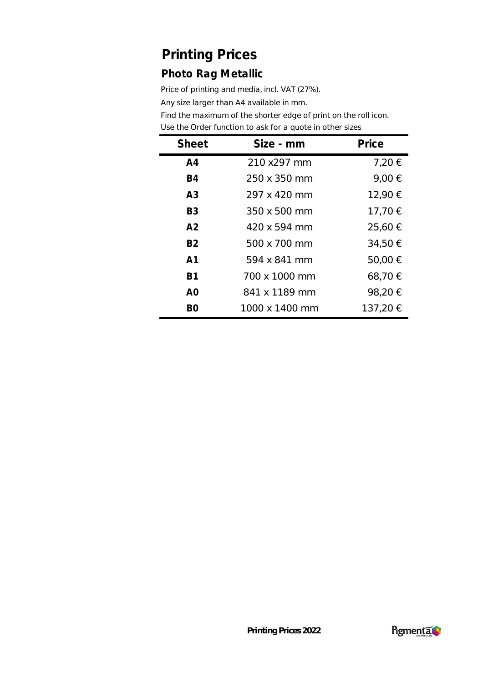### **Photo Rag Metallic**

Price of printing and media, incl. VAT (27%).

Any size larger than A4 available in mm.

| <b>Sheet</b>   | Size - mm      | Price    |
|----------------|----------------|----------|
| A <sub>4</sub> | 210 x297 mm    | 7,20 €   |
| <b>B4</b>      | 250 x 350 mm   | 9,00 €   |
| A <sub>3</sub> | 297 x 420 mm   | 12,90 €  |
| B <sub>3</sub> | 350 x 500 mm   | 17,70 €  |
| A <sub>2</sub> | 420 x 594 mm   | 25,60 €  |
| <b>B2</b>      | 500 x 700 mm   | 34,50 €  |
| A <sub>1</sub> | 594 x 841 mm   | 50,00 €  |
| <b>B1</b>      | 700 x 1000 mm  | 68,70 €  |
| A <sub>O</sub> | 841 x 1189 mm  | 98,20€   |
| B0             | 1000 x 1400 mm | 137,20 € |

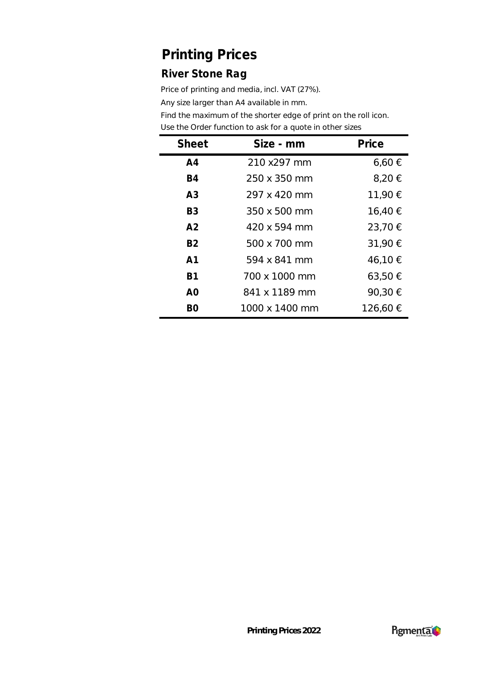### **River Stone Rag**

Price of printing and media, incl. VAT (27%).

Any size larger than A4 available in mm.

| <b>Sheet</b>   | Size - mm      | Price       |
|----------------|----------------|-------------|
| A <sub>4</sub> | 210 x297 mm    | $6,60 \in$  |
| <b>B4</b>      | 250 x 350 mm   | 8,20 €      |
| A <sub>3</sub> | 297 x 420 mm   | 11,90 €     |
| B <sub>3</sub> | 350 x 500 mm   | 16,40 €     |
| A <sub>2</sub> | 420 x 594 mm   | 23,70 €     |
| <b>B2</b>      | 500 x 700 mm   | 31,90 €     |
| A1             | 594 x 841 mm   | 46,10 €     |
| B1             | 700 x 1000 mm  | $63,50 \in$ |
| A <sub>O</sub> | 841 x 1189 mm  | 90,30 €     |
| B0             | 1000 x 1400 mm | 126,60 €    |

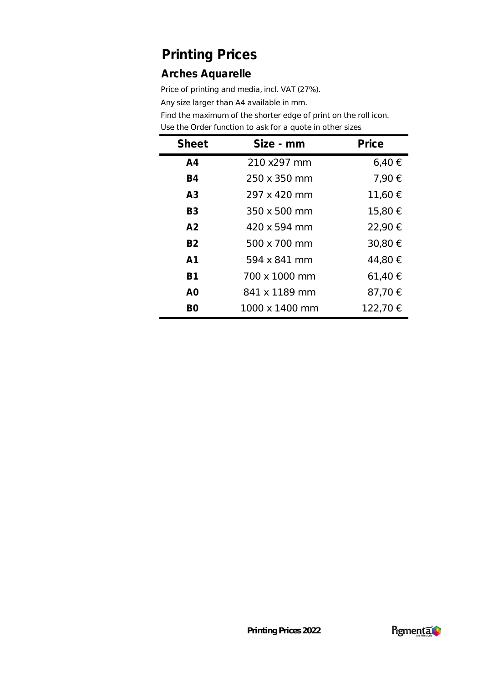#### **Arches Aquarelle**

Price of printing and media, incl. VAT (27%).

Any size larger than A4 available in mm.

| <b>Sheet</b>   | Size - mm      | Price    |
|----------------|----------------|----------|
| A <sub>4</sub> | 210 x297 mm    | 6,40€    |
| <b>B4</b>      | 250 x 350 mm   | 7,90 €   |
| A <sub>3</sub> | 297 x 420 mm   | 11,60 €  |
| B <sub>3</sub> | 350 x 500 mm   | 15,80 €  |
| A <sub>2</sub> | 420 x 594 mm   | 22,90 €  |
| <b>B2</b>      | 500 x 700 mm   | 30,80 €  |
| A <sub>1</sub> | 594 x 841 mm   | 44,80 €  |
| <b>B1</b>      | 700 x 1000 mm  | 61,40 €  |
| A <sub>O</sub> | 841 x 1189 mm  | 87,70 €  |
| B0             | 1000 x 1400 mm | 122,70 € |

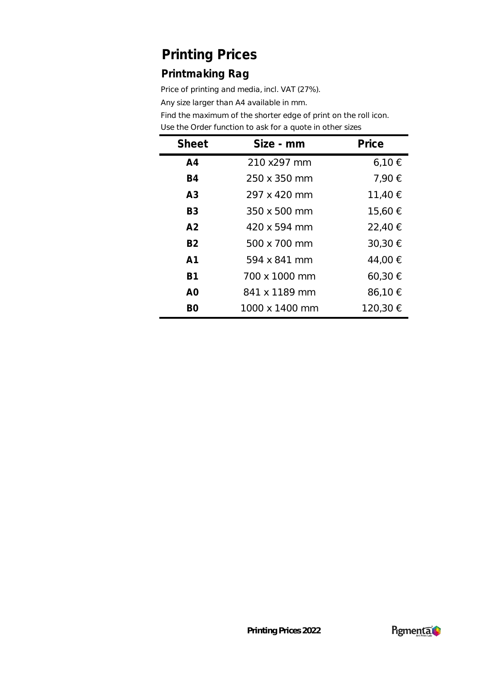### **Printmaking Rag**

Price of printing and media, incl. VAT (27%).

Any size larger than A4 available in mm.

| <b>Sheet</b>   | Size - mm      | Price       |
|----------------|----------------|-------------|
| A <sub>4</sub> | 210 x297 mm    | 6,10€       |
| <b>B4</b>      | 250 x 350 mm   | 7,90 €      |
| A <sub>3</sub> | 297 x 420 mm   | 11,40 €     |
| B <sub>3</sub> | 350 x 500 mm   | 15,60 €     |
| A <sub>2</sub> | 420 x 594 mm   | 22,40 €     |
| <b>B2</b>      | 500 x 700 mm   | 30,30 €     |
| A <sub>1</sub> | 594 x 841 mm   | 44,00 €     |
| <b>B1</b>      | 700 x 1000 mm  | $60,30 \in$ |
| A <sub>O</sub> | 841 x 1189 mm  | 86,10 €     |
| B0             | 1000 x 1400 mm | 120,30 €    |

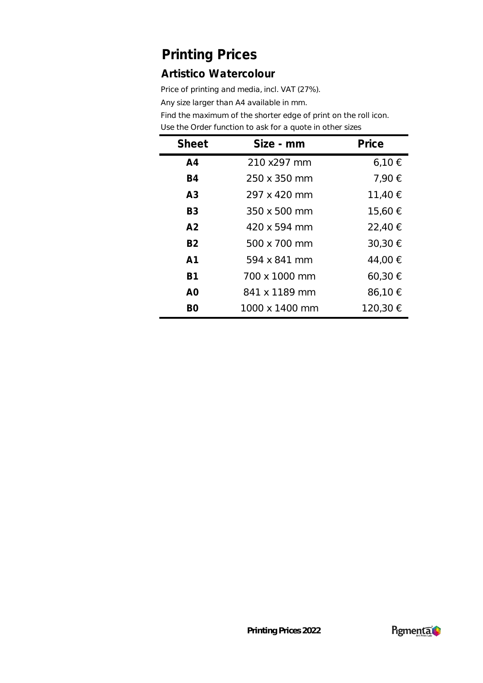#### **Artistico Watercolour**

Price of printing and media, incl. VAT (27%).

Any size larger than A4 available in mm.

| <b>Sheet</b>   | Size - mm      | Price    |
|----------------|----------------|----------|
| A <sub>4</sub> | 210 x297 mm    | 6,10€    |
| <b>B4</b>      | 250 x 350 mm   | 7,90 €   |
| A <sub>3</sub> | 297 x 420 mm   | 11,40 €  |
| B <sub>3</sub> | 350 x 500 mm   | 15,60 €  |
| A <sub>2</sub> | 420 x 594 mm   | 22,40 €  |
| <b>B2</b>      | 500 x 700 mm   | 30,30 €  |
| A <sub>1</sub> | 594 x 841 mm   | 44,00 €  |
| <b>B1</b>      | 700 x 1000 mm  | 60,30 €  |
| A <sub>O</sub> | 841 x 1189 mm  | 86,10 €  |
| BΟ             | 1000 x 1400 mm | 120,30 € |

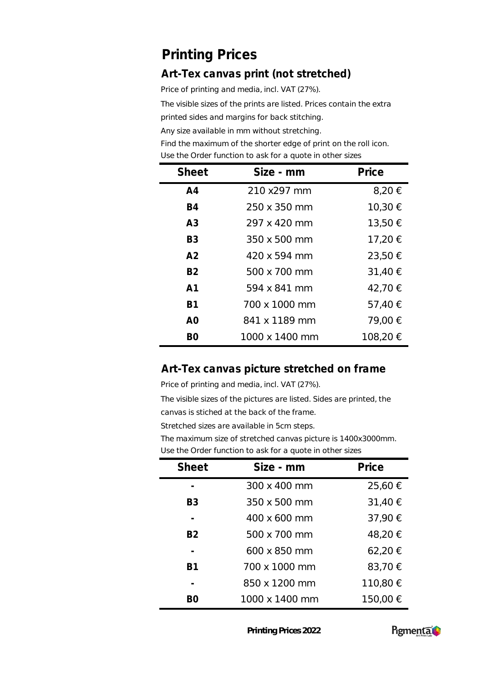### **Art-Tex canvas print (not stretched)**

Price of printing and media, incl. VAT (27%).

The visible sizes of the prints are listed. Prices contain the extra

printed sides and margins for back stitching.

Any size available in mm without stretching.

Find the maximum of the shorter edge of print on the roll icon. Use the Order function to ask for a quote in other sizes

| <b>Sheet</b>   | Size - mm      | Price    |
|----------------|----------------|----------|
| A <sub>4</sub> | 210 x297 mm    | 8,20 €   |
| B4             | 250 x 350 mm   | 10,30 €  |
| A <sub>3</sub> | 297 x 420 mm   | 13,50 €  |
| B <sub>3</sub> | 350 x 500 mm   | 17,20 €  |
| A <sub>2</sub> | 420 x 594 mm   | 23,50 €  |
| <b>B2</b>      | 500 x 700 mm   | 31,40 €  |
| A <sub>1</sub> | 594 x 841 mm   | 42,70 €  |
| <b>B1</b>      | 700 x 1000 mm  | 57,40 €  |
| A0             | 841 x 1189 mm  | 79,00 €  |
| BΟ             | 1000 x 1400 mm | 108,20 € |

#### **Art-Tex canvas picture stretched on frame**

Price of printing and media, incl. VAT (27%).

The visible sizes of the pictures are listed. Sides are printed, the canvas is stiched at the back of the frame.

Stretched sizes are available in 5cm steps.

The maximum size of stretched canvas picture is 1400x3000mm. Use the Order function to ask for a quote in other sizes

| <b>Sheet</b>   | Size - mm      | Price    |
|----------------|----------------|----------|
|                | 300 x 400 mm   | 25,60 €  |
| B3             | 350 x 500 mm   | 31,40 €  |
|                | 400 x 600 mm   | 37,90 €  |
| B <sub>2</sub> | 500 x 700 mm   | 48,20 €  |
|                | 600 x 850 mm   | 62,20 €  |
| B <sub>1</sub> | 700 x 1000 mm  | 83,70 €  |
|                | 850 x 1200 mm  | 110,80 € |
|                | 1000 x 1400 mm | 150,00 € |

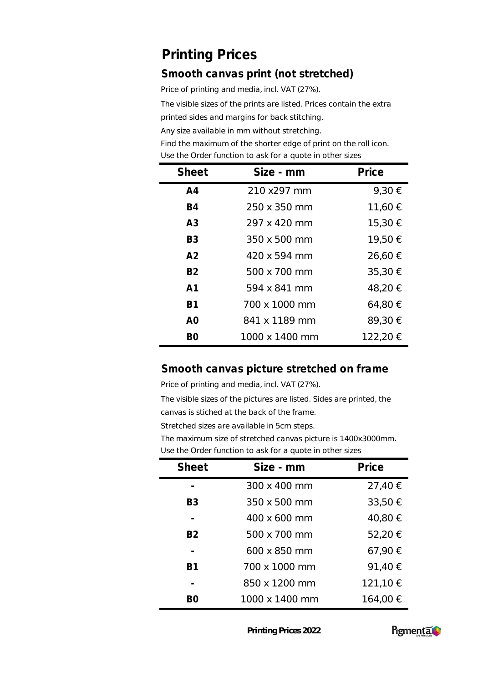#### **Smooth canvas print (not stretched)**

Price of printing and media, incl. VAT (27%).

The visible sizes of the prints are listed. Prices contain the extra

printed sides and margins for back stitching.

Any size available in mm without stretching.

Find the maximum of the shorter edge of print on the roll icon. Use the Order function to ask for a quote in other sizes

| <b>Sheet</b>   | Size - mm      | Price    |
|----------------|----------------|----------|
| A <sub>4</sub> | 210 x297 mm    | 9,30 €   |
| <b>B4</b>      | 250 x 350 mm   | 11,60 €  |
| A3             | 297 x 420 mm   | 15,30 €  |
| B <sub>3</sub> | 350 x 500 mm   | 19,50 €  |
| A <sub>2</sub> | 420 x 594 mm   | 26,60 €  |
| <b>B2</b>      | 500 x 700 mm   | 35,30 €  |
| A <sub>1</sub> | 594 x 841 mm   | 48,20 €  |
| <b>B1</b>      | 700 x 1000 mm  | 64,80 €  |
| A <sub>O</sub> | 841 x 1189 mm  | 89,30€   |
| BΟ             | 1000 x 1400 mm | 122,20 € |

#### **Smooth canvas picture stretched on frame**

Price of printing and media, incl. VAT (27%).

The visible sizes of the pictures are listed. Sides are printed, the canvas is stiched at the back of the frame.

Stretched sizes are available in 5cm steps.

The maximum size of stretched canvas picture is 1400x3000mm. Use the Order function to ask for a quote in other sizes

| <b>Sheet</b>   | Size - mm      | Price    |
|----------------|----------------|----------|
|                | 300 x 400 mm   | 27,40 €  |
| B3             | 350 x 500 mm   | 33,50 €  |
|                | 400 x 600 mm   | 40,80 €  |
| B <sub>2</sub> | 500 x 700 mm   | 52,20 €  |
|                | 600 x 850 mm   | 67,90 €  |
| R1             | 700 x 1000 mm  | 91,40 €  |
|                | 850 x 1200 mm  | 121,10 € |
|                | 1000 x 1400 mm | 164,00 € |

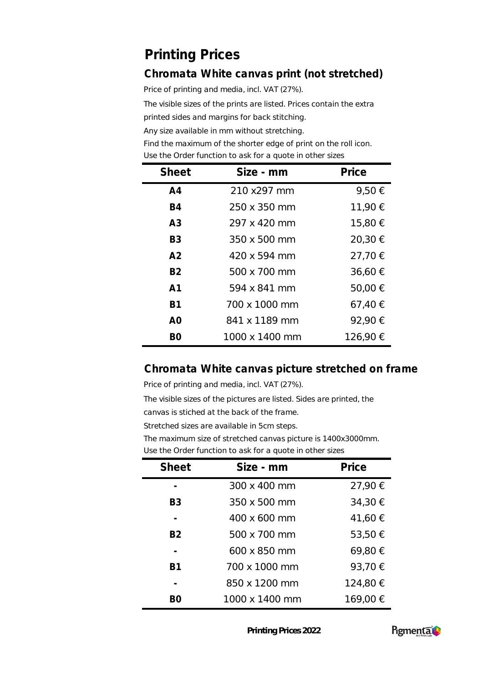### **Chromata White canvas print (not stretched)**

Price of printing and media, incl. VAT (27%).

The visible sizes of the prints are listed. Prices contain the extra

printed sides and margins for back stitching.

Any size available in mm without stretching.

Find the maximum of the shorter edge of print on the roll icon. Use the Order function to ask for a quote in other sizes

| <b>Sheet</b>   | Size - mm      | Price    |
|----------------|----------------|----------|
| A <sub>4</sub> | 210 x297 mm    | 9,50 €   |
| <b>B4</b>      | 250 x 350 mm   | 11,90 €  |
| A <sub>3</sub> | 297 x 420 mm   | 15,80 €  |
| B <sub>3</sub> | 350 x 500 mm   | 20,30 €  |
| A <sub>2</sub> | 420 x 594 mm   | 27,70 €  |
| <b>B2</b>      | 500 x 700 mm   | 36,60 €  |
| A <sub>1</sub> | 594 x 841 mm   | 50,00 €  |
| <b>B1</b>      | 700 x 1000 mm  | 67,40 €  |
| A <sub>0</sub> | 841 x 1189 mm  | 92,90 €  |
| BΟ             | 1000 x 1400 mm | 126,90 € |

#### **Chromata White canvas picture stretched on frame**

Price of printing and media, incl. VAT (27%).

The visible sizes of the pictures are listed. Sides are printed, the canvas is stiched at the back of the frame.

Stretched sizes are available in 5cm steps.

The maximum size of stretched canvas picture is 1400x3000mm. Use the Order function to ask for a quote in other sizes

| <b>Sheet</b>   | Size - mm      | Price    |
|----------------|----------------|----------|
|                | 300 x 400 mm   | 27,90 €  |
| B3             | 350 x 500 mm   | 34,30 €  |
|                | 400 x 600 mm   | 41,60 €  |
| B <sub>2</sub> | 500 x 700 mm   | 53,50 €  |
|                | 600 x 850 mm   | 69,80 €  |
| B <sub>1</sub> | 700 x 1000 mm  | 93,70 €  |
|                | 850 x 1200 mm  | 124,80 € |
|                | 1000 x 1400 mm | 169,00 € |

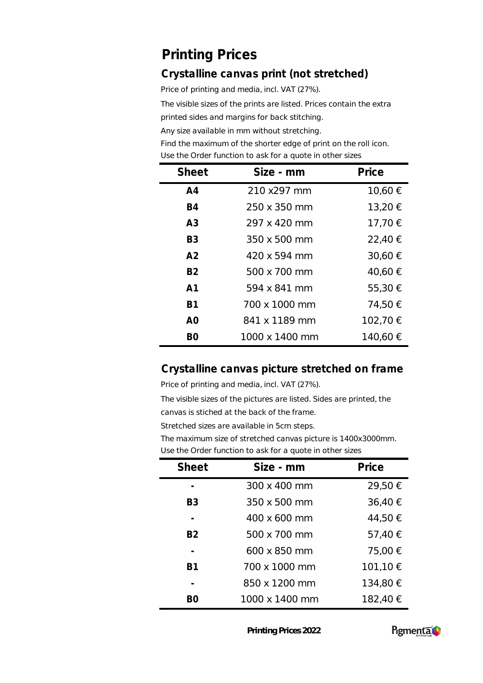### **Crystalline canvas print (not stretched)**

Price of printing and media, incl. VAT (27%).

The visible sizes of the prints are listed. Prices contain the extra

printed sides and margins for back stitching.

Any size available in mm without stretching.

Find the maximum of the shorter edge of print on the roll icon. Use the Order function to ask for a quote in other sizes

| <b>Sheet</b>   | Size - mm           | Price    |
|----------------|---------------------|----------|
| A <sub>4</sub> | 210 x297 mm         | 10,60 €  |
| <b>B4</b>      | 250 x 350 mm        | 13,20 €  |
| A3             | 297 x 420 mm        | 17,70 €  |
| B <sub>3</sub> | $350 \times 500$ mm | 22,40 €  |
| A <sub>2</sub> | 420 x 594 mm        | 30,60 €  |
| <b>B2</b>      | 500 x 700 mm        | 40,60 €  |
| A <sub>1</sub> | 594 x 841 mm        | 55,30 €  |
| <b>B1</b>      | 700 x 1000 mm       | 74,50 €  |
| A <sub>0</sub> | 841 x 1189 mm       | 102,70 € |
| BΟ             | 1000 x 1400 mm      | 140,60 € |

#### **Crystalline canvas picture stretched on frame**

Price of printing and media, incl. VAT (27%).

The visible sizes of the pictures are listed. Sides are printed, the canvas is stiched at the back of the frame.

Stretched sizes are available in 5cm steps.

The maximum size of stretched canvas picture is 1400x3000mm. Use the Order function to ask for a quote in other sizes

| <b>Sheet</b>   | Size - mm      | Price    |
|----------------|----------------|----------|
|                | 300 x 400 mm   | 29,50 €  |
| B3             | 350 x 500 mm   | 36,40 €  |
|                | 400 x 600 mm   | 44,50 €  |
| B <sub>2</sub> | 500 x 700 mm   | 57,40 €  |
|                | 600 x 850 mm   | 75,00 €  |
| B <sub>1</sub> | 700 x 1000 mm  | 101,10 € |
|                | 850 x 1200 mm  | 134,80 € |
|                | 1000 x 1400 mm | 182,40 € |

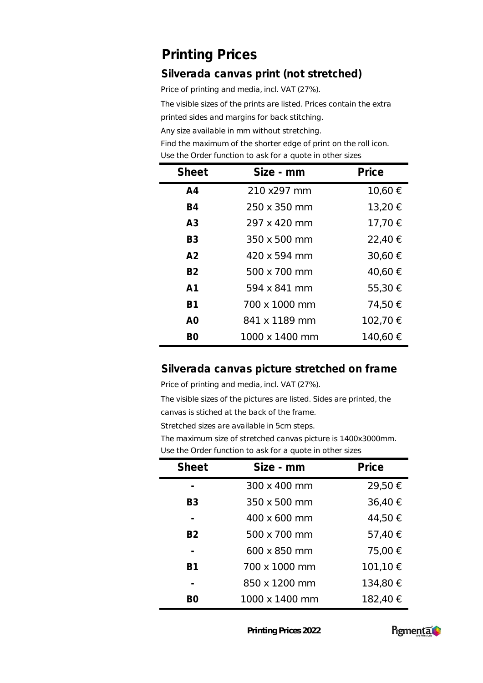#### **Silverada canvas print (not stretched)**

Price of printing and media, incl. VAT (27%).

The visible sizes of the prints are listed. Prices contain the extra

printed sides and margins for back stitching.

Any size available in mm without stretching.

Find the maximum of the shorter edge of print on the roll icon. Use the Order function to ask for a quote in other sizes

| <b>Sheet</b>   | Size - mm      | Price    |
|----------------|----------------|----------|
| A <sub>4</sub> | 210 x297 mm    | 10,60 €  |
| B4             | 250 x 350 mm   | 13,20 €  |
| A <sub>3</sub> | 297 x 420 mm   | 17,70 €  |
| B3             | 350 x 500 mm   | 22,40 €  |
| A <sub>2</sub> | 420 x 594 mm   | 30,60 €  |
| <b>B2</b>      | 500 x 700 mm   | 40,60 €  |
| A <sub>1</sub> | 594 x 841 mm   | 55,30 €  |
| <b>B1</b>      | 700 x 1000 mm  | 74,50 €  |
| A0             | 841 x 1189 mm  | 102,70 € |
| BΟ             | 1000 x 1400 mm | 140,60 € |

#### **Silverada canvas picture stretched on frame**

Price of printing and media, incl. VAT (27%).

The visible sizes of the pictures are listed. Sides are printed, the canvas is stiched at the back of the frame.

Stretched sizes are available in 5cm steps.

The maximum size of stretched canvas picture is 1400x3000mm. Use the Order function to ask for a quote in other sizes

| <b>Sheet</b>   | Size - mm      | Price    |
|----------------|----------------|----------|
|                | 300 x 400 mm   | 29,50 €  |
| B3             | 350 x 500 mm   | 36,40 €  |
|                | 400 x 600 mm   | 44,50 €  |
| B <sub>2</sub> | 500 x 700 mm   | 57,40 €  |
|                | 600 x 850 mm   | 75,00 €  |
| B1             | 700 x 1000 mm  | 101,10 € |
|                | 850 x 1200 mm  | 134,80 € |
|                | 1000 x 1400 mm | 182,40 € |

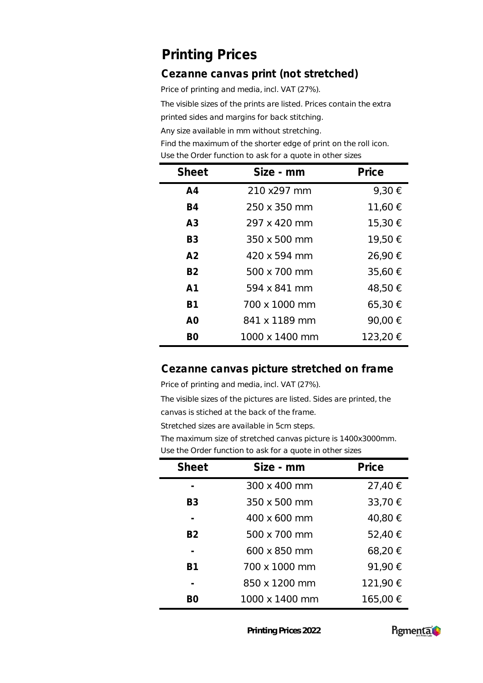#### **Cezanne canvas print (not stretched)**

Price of printing and media, incl. VAT (27%).

The visible sizes of the prints are listed. Prices contain the extra

printed sides and margins for back stitching.

Any size available in mm without stretching.

Find the maximum of the shorter edge of print on the roll icon. Use the Order function to ask for a quote in other sizes

| <b>Sheet</b>   | Size - mm      | Price    |
|----------------|----------------|----------|
| A <sub>4</sub> | 210 x297 mm    | 9,30 €   |
| B4             | 250 x 350 mm   | 11,60 €  |
| A <sub>3</sub> | 297 x 420 mm   | 15,30 €  |
| B <sub>3</sub> | 350 x 500 mm   | 19,50 €  |
| A <sub>2</sub> | 420 x 594 mm   | 26,90 €  |
| <b>B2</b>      | 500 x 700 mm   | 35,60 €  |
| A <sub>1</sub> | 594 x 841 mm   | 48,50 €  |
| <b>B1</b>      | 700 x 1000 mm  | 65,30 €  |
| A0             | 841 x 1189 mm  | 90,00 €  |
| BΟ             | 1000 x 1400 mm | 123,20 € |

#### **Cezanne canvas picture stretched on frame**

Price of printing and media, incl. VAT (27%).

The visible sizes of the pictures are listed. Sides are printed, the canvas is stiched at the back of the frame.

Stretched sizes are available in 5cm steps.

The maximum size of stretched canvas picture is 1400x3000mm. Use the Order function to ask for a quote in other sizes

| <b>Sheet</b>   | Size - mm      | Price    |
|----------------|----------------|----------|
|                | 300 x 400 mm   | 27,40 €  |
| B3             | 350 x 500 mm   | 33,70 €  |
|                | 400 x 600 mm   | 40,80 €  |
| B <sub>2</sub> | 500 x 700 mm   | 52,40 €  |
|                | 600 x 850 mm   | 68,20€   |
| B <sub>1</sub> | 700 x 1000 mm  | 91,90 €  |
|                | 850 x 1200 mm  | 121,90 € |
|                | 1000 x 1400 mm | 165,00 € |

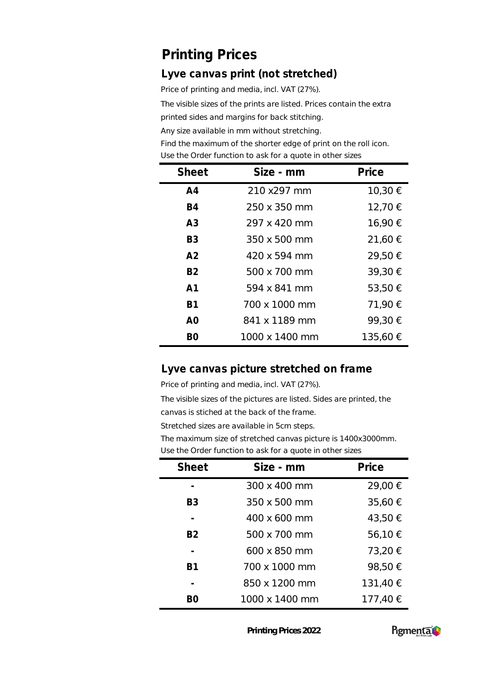#### **Lyve canvas print (not stretched)**

Price of printing and media, incl. VAT (27%).

The visible sizes of the prints are listed. Prices contain the extra

printed sides and margins for back stitching.

Any size available in mm without stretching.

Find the maximum of the shorter edge of print on the roll icon. Use the Order function to ask for a quote in other sizes

| <b>Sheet</b>   | Size - mm      | Price    |
|----------------|----------------|----------|
| A <sub>4</sub> | 210 x297 mm    | 10,30 €  |
| <b>B4</b>      | 250 x 350 mm   | 12,70 €  |
| A <sub>3</sub> | 297 x 420 mm   | 16,90 €  |
| B3             | 350 x 500 mm   | 21,60 €  |
| A <sub>2</sub> | 420 x 594 mm   | 29,50 €  |
| <b>B2</b>      | 500 x 700 mm   | 39,30 €  |
| A <sub>1</sub> | 594 x 841 mm   | 53,50 €  |
| <b>B1</b>      | 700 x 1000 mm  | 71,90 €  |
| A0             | 841 x 1189 mm  | 99,30 €  |
| BΟ             | 1000 x 1400 mm | 135,60 € |

#### **Lyve canvas picture stretched on frame**

Price of printing and media, incl. VAT (27%).

The visible sizes of the pictures are listed. Sides are printed, the canvas is stiched at the back of the frame.

Stretched sizes are available in 5cm steps.

The maximum size of stretched canvas picture is 1400x3000mm. Use the Order function to ask for a quote in other sizes

| <b>Sheet</b>   | Size - mm      | Price    |
|----------------|----------------|----------|
|                | 300 x 400 mm   | 29,00 €  |
| B3             | 350 x 500 mm   | 35,60 €  |
|                | 400 x 600 mm   | 43,50 €  |
| B2             | 500 x 700 mm   | 56,10 €  |
|                | 600 x 850 mm   | 73,20 €  |
| B <sub>1</sub> | 700 x 1000 mm  | 98,50 €  |
|                | 850 x 1200 mm  | 131,40 € |
|                | 1000 x 1400 mm | 177,40 € |